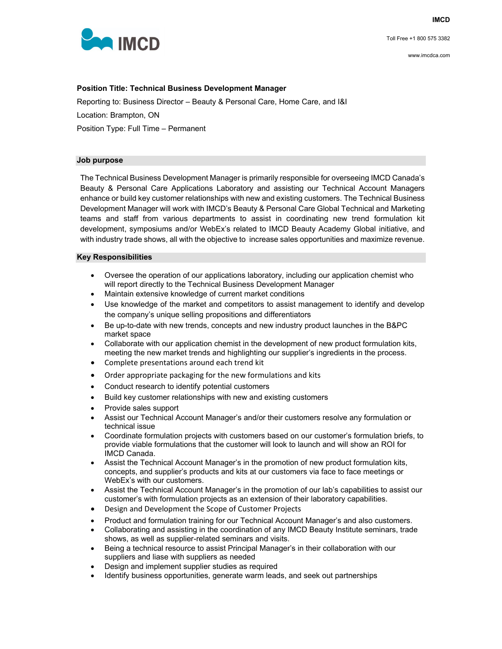Toll Free +1 800 575 3382



# **Position Title: Technical Business Development Manager**

Reporting to: Business Director – Beauty & Personal Care, Home Care, and I&I

Location: Brampton, ON

Position Type: Full Time – Permanent

## **Job purpose**

The Technical Business Development Manager is primarily responsible for overseeing IMCD Canada's Beauty & Personal Care Applications Laboratory and assisting our Technical Account Managers enhance or build key customer relationships with new and existing customers. The Technical Business Development Manager will work with IMCD's Beauty & Personal Care Global Technical and Marketing teams and staff from various departments to assist in coordinating new trend formulation kit development, symposiums and/or WebEx's related to IMCD Beauty Academy Global initiative, and with industry trade shows, all with the objective to increase sales opportunities and maximize revenue.

### **Key Responsibilities**

- Oversee the operation of our applications laboratory, including our application chemist who will report directly to the Technical Business Development Manager
- Maintain extensive knowledge of current market conditions
- Use knowledge of the market and competitors to assist management to identify and develop the company's unique selling propositions and differentiators
- Be up-to-date with new trends, concepts and new industry product launches in the B&PC market space
- Collaborate with our application chemist in the development of new product formulation kits, meeting the new market trends and highlighting our supplier's ingredients in the process.
- Complete presentations around each trend kit
- Order appropriate packaging for the new formulations and kits
- Conduct research to identify potential customers
- Build key customer relationships with new and existing customers
- Provide sales support
- Assist our Technical Account Manager's and/or their customers resolve any formulation or technical issue
- Coordinate formulation projects with customers based on our customer's formulation briefs, to provide viable formulations that the customer will look to launch and will show an ROI for IMCD Canada.
- Assist the Technical Account Manager's in the promotion of new product formulation kits, concepts, and supplier's products and kits at our customers via face to face meetings or WebEx's with our customers.
- Assist the Technical Account Manager's in the promotion of our lab's capabilities to assist our customer's with formulation projects as an extension of their laboratory capabilities.
- Design and Development the Scope of Customer Projects
- Product and formulation training for our Technical Account Manager's and also customers.
- Collaborating and assisting in the coordination of any IMCD Beauty Institute seminars, trade shows, as well as supplier-related seminars and visits.
- Being a technical resource to assist Principal Manager's in their collaboration with our suppliers and liase with suppliers as needed
- Design and implement supplier studies as required
- Identify business opportunities, generate warm leads, and seek out partnerships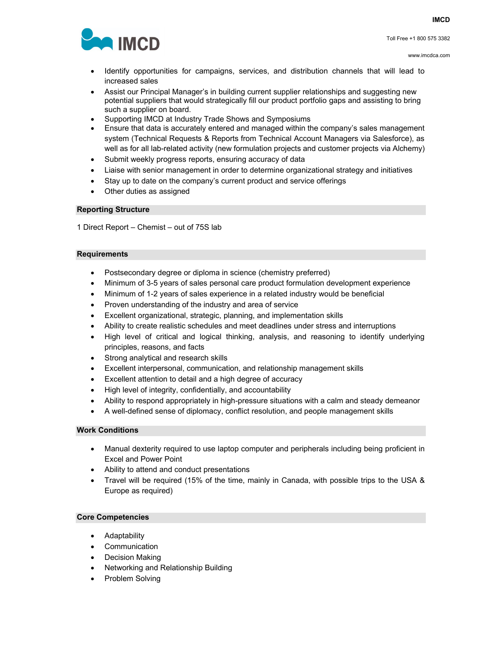

- Identify opportunities for campaigns, services, and distribution channels that will lead to increased sales
- Assist our Principal Manager's in building current supplier relationships and suggesting new potential suppliers that would strategically fill our product portfolio gaps and assisting to bring such a supplier on board.
- Supporting IMCD at Industry Trade Shows and Symposiums
- Ensure that data is accurately entered and managed within the company's sales management system (Technical Requests & Reports from Technical Account Managers via Salesforce), as well as for all lab-related activity (new formulation projects and customer projects via Alchemy)
- Submit weekly progress reports, ensuring accuracy of data
- Liaise with senior management in order to determine organizational strategy and initiatives
- Stay up to date on the company's current product and service offerings
- Other duties as assigned

### **Reporting Structure**

1 Direct Report – Chemist – out of 75S lab

#### **Requirements**

- Postsecondary degree or diploma in science (chemistry preferred)
- Minimum of 3-5 years of sales personal care product formulation development experience
- Minimum of 1-2 years of sales experience in a related industry would be beneficial
- Proven understanding of the industry and area of service
- Excellent organizational, strategic, planning, and implementation skills
- Ability to create realistic schedules and meet deadlines under stress and interruptions
- High level of critical and logical thinking, analysis, and reasoning to identify underlying principles, reasons, and facts
- Strong analytical and research skills
- Excellent interpersonal, communication, and relationship management skills
- Excellent attention to detail and a high degree of accuracy
- High level of integrity, confidentially, and accountability
- Ability to respond appropriately in high-pressure situations with a calm and steady demeanor
- A well-defined sense of diplomacy, conflict resolution, and people management skills

### **Work Conditions**

- Manual dexterity required to use laptop computer and peripherals including being proficient in Excel and Power Point
- Ability to attend and conduct presentations
- Travel will be required (15% of the time, mainly in Canada, with possible trips to the USA & Europe as required)

### **Core Competencies**

- Adaptability
- Communication
- Decision Making
- Networking and Relationship Building
- Problem Solving